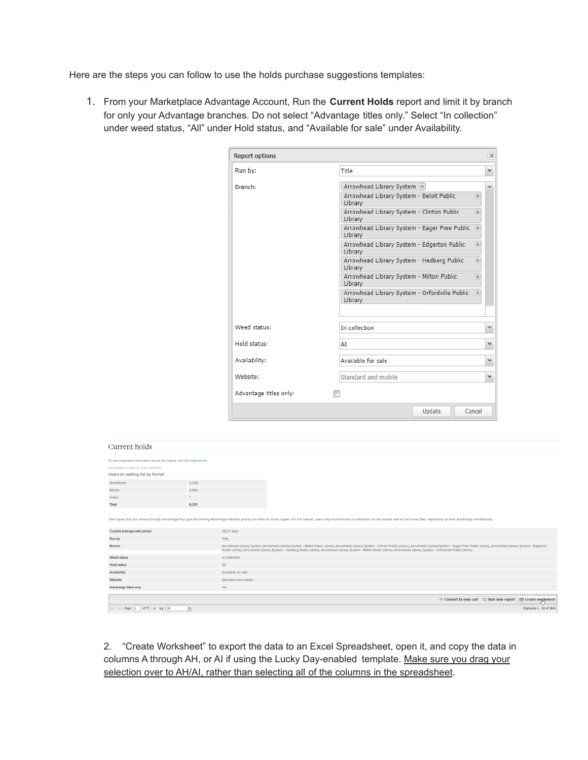Here are the steps you can follow to use the holds purchase suggestions templates:

1. From your Marketplace Advantage Account, Run the **Current Holds** report and limit it by branch for only your Advantage branches. Do not select "Advantage titles only." Select "In collection" under weed status, "All" under Hold status, and "Available for sale" under Availability.

| <b>Report options</b>  |                                                                                  | $\times$ |
|------------------------|----------------------------------------------------------------------------------|----------|
| Run by:                | Title                                                                            | v        |
| Branch:                | Arrowhead Library System [8]                                                     |          |
|                        | Arrowhead Library System - Beloit Public<br>$\overline{\mathbf{x}}$<br>Library   |          |
|                        | Arrowhead Library System - Clinton Public<br> 36 <br>Library                     |          |
|                        | Arrowhead Library System - Eager Free Public<br>[36]<br>Library                  |          |
|                        | Arrowhead Library System - Edgerton Public<br>$\overline{\mathbf{x}}$<br>Library |          |
|                        | Arrowhead Library System - Hedberg Public<br>$\overline{\mathbf{x}}$<br>Library  |          |
|                        | Arrowhead Library System - Milton Public<br>$\mathbb{R}$<br>Library              |          |
|                        | Arrowhead Library System - Orfordville Public<br>$\vert x \vert$<br>Library      |          |
| Weed status:           | In collection                                                                    | v        |
| Hold status:           | All                                                                              | v        |
| Availability:          | Available for sale                                                               | v        |
| Website:               | Standard and mobile                                                              | v        |
| Advantage titles only: |                                                                                  |          |
|                        | Cancel<br>Update                                                                 |          |

## Current holds

| To see important information about this report, visit this help article. |                     |                                                                                                                                                                                                                                                                                                                                                                                                        |
|--------------------------------------------------------------------------|---------------------|--------------------------------------------------------------------------------------------------------------------------------------------------------------------------------------------------------------------------------------------------------------------------------------------------------------------------------------------------------------------------------------------------------|
| Last updated October 13, 2020 2:18 PM ET                                 |                     |                                                                                                                                                                                                                                                                                                                                                                                                        |
| Users on waiting list by format                                          |                     |                                                                                                                                                                                                                                                                                                                                                                                                        |
| Audiobook                                                                | 2.308               |                                                                                                                                                                                                                                                                                                                                                                                                        |
| Ebook                                                                    | 3,982               |                                                                                                                                                                                                                                                                                                                                                                                                        |
| Video                                                                    |                     |                                                                                                                                                                                                                                                                                                                                                                                                        |
| Total                                                                    | 6,291               |                                                                                                                                                                                                                                                                                                                                                                                                        |
|                                                                          |                     | Title copies that are shared through Advantage Plus give the owning Advantage member priority on holds for those copies. For this reason, users may move forward or backward on the overall wait list for those titles, depend                                                                                                                                                                         |
| Current average wait period                                              | 38.27 days          |                                                                                                                                                                                                                                                                                                                                                                                                        |
| Run by                                                                   | Title               |                                                                                                                                                                                                                                                                                                                                                                                                        |
| <b>Branch</b>                                                            |                     | Arrowhead Library System, Arrowhead Library System - Beloit Public Library, Arrowhead Library System - Clinton Public Library, Arrowhead Library System - Eager Free Public Library, Arrowhead Library System - Edgerton<br>Public Library, Arrowhead Library System - Hedberg Public Library, Arrowhead Library System - Milton Public Library, Arrowhead Library System - Orfordville Public Library |
| Weed status                                                              | In collection       |                                                                                                                                                                                                                                                                                                                                                                                                        |
| <b>Hold status</b>                                                       | All                 |                                                                                                                                                                                                                                                                                                                                                                                                        |
| Availability                                                             | Available for sale  |                                                                                                                                                                                                                                                                                                                                                                                                        |
| Website                                                                  | Standard and mobile |                                                                                                                                                                                                                                                                                                                                                                                                        |
| Advantage titles only                                                    | <b>No</b>           |                                                                                                                                                                                                                                                                                                                                                                                                        |
|                                                                          |                     | $+$ Convert to new cart $\Rightarrow$ Run new report $\quad$ ⊞ Create worksheet                                                                                                                                                                                                                                                                                                                        |
|                                                                          | $\vee$              | Displaying 1 - 50 of 3841                                                                                                                                                                                                                                                                                                                                                                              |

2. "Create Worksheet" to export the data to an Excel Spreadsheet, open it, and copy the data in columns A through AH, or AI if using the Lucky Day-enabled template. Make sure you drag your selection over to AH/AI, rather than selecting all of the columns in the spreadsheet.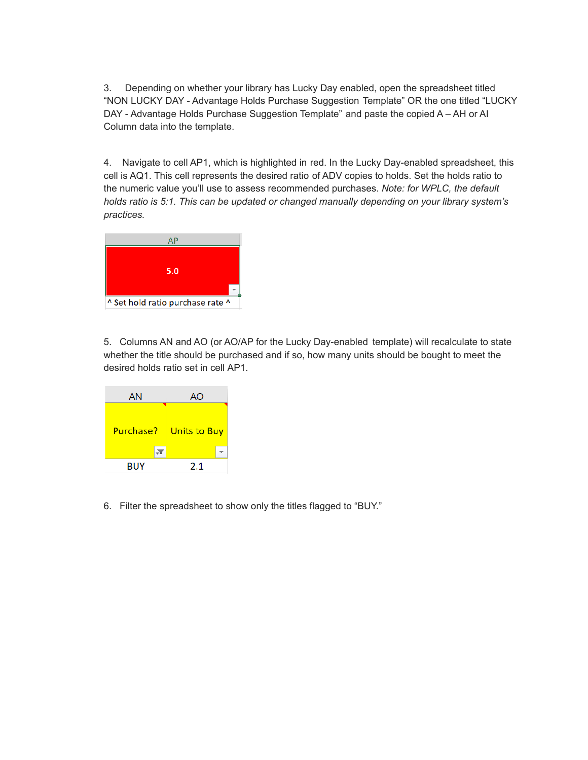3. Depending on whether your library has Lucky Day enabled, open the spreadsheet titled "NON LUCKY DAY - Advantage Holds Purchase Suggestion Template" OR the one titled "LUCKY DAY - Advantage Holds Purchase Suggestion Template" and paste the copied A – AH or AI Column data into the template.

4. Navigate to cell AP1, which is highlighted in red. In the Lucky Day-enabled spreadsheet, this cell is AQ1. This cell represents the desired ratio of ADV copies to holds. Set the holds ratio to the numeric value you'll use to assess recommended purchases. *Note: for WPLC, the default holds ratio is 5:1. This can be updated or changed manually depending on your library system's practices.*



5. Columns AN and AO (or AO/AP for the Lucky Day-enabled template) will recalculate to state whether the title should be purchased and if so, how many units should be bought to meet the desired holds ratio set in cell AP1.



6. Filter the spreadsheet to show only the titles flagged to "BUY."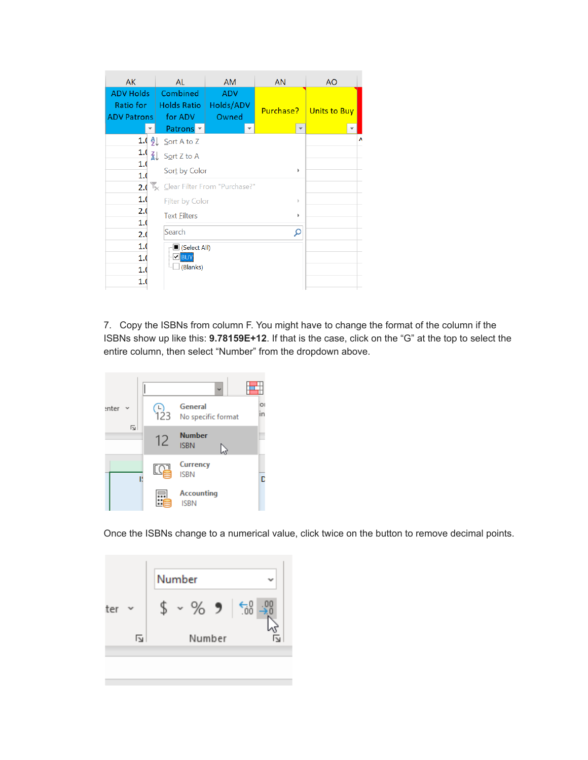| <b>AK</b>                                                                                                                                                                    | AL                                        | <b>AM</b>                        | <b>AN</b> | <b>AO</b>                     |  |  |
|------------------------------------------------------------------------------------------------------------------------------------------------------------------------------|-------------------------------------------|----------------------------------|-----------|-------------------------------|--|--|
| <b>ADV Holds</b><br>Ratio for<br><b>Contract Contract Contract Contract Contract Contract Contract Contract Contract Contract Contract Contract Co</b><br><b>ADV Patrons</b> | Combined<br><b>Holds Ratio</b><br>for ADV | <b>ADV</b><br>Holds/ADV<br>Owned |           | <b>Purchase?</b> Units to Buy |  |  |
|                                                                                                                                                                              | Patrons $\overline{z}$                    | $\overline{\phantom{0}}$         |           | $\overline{\phantom{a}}$      |  |  |
|                                                                                                                                                                              | 1.( $\frac{A}{2}$ ) Sort A to Z           |                                  |           | Λ                             |  |  |
| 1.0                                                                                                                                                                          | $Z \downarrow$ Sort Z to A                |                                  |           |                               |  |  |
| 1.0<br>1.0                                                                                                                                                                   | Sort by Color                             | Þ                                |           |                               |  |  |
| 2.0                                                                                                                                                                          | Clear Filter From "Purchase?"             |                                  |           |                               |  |  |
| 1.0                                                                                                                                                                          |                                           | <b>Filter by Color</b><br>þ.     |           |                               |  |  |
| 2.0<br>1.0                                                                                                                                                                   | <b>Text Eilters</b>                       | Þ                                |           |                               |  |  |
| 2.0                                                                                                                                                                          | Search                                    | Ω                                |           |                               |  |  |
| 1.0                                                                                                                                                                          | $\blacksquare$ (Select All)               |                                  |           |                               |  |  |
| 1.0                                                                                                                                                                          | <b>Z</b> BUY<br>(Blanks)                  |                                  |           |                               |  |  |
| 1.0<br>1.0                                                                                                                                                                   |                                           |                                  |           |                               |  |  |
|                                                                                                                                                                              |                                           |                                  |           |                               |  |  |

7. Copy the ISBNs from column F. You might have to change the format of the column if the ISBNs show up like this: **9.78159E+12**. If that is the case, click on the "G" at the top to select the entire column, then select "Number" from the dropdown above.



Once the ISBNs change to a numerical value, click twice on the button to remove decimal points.